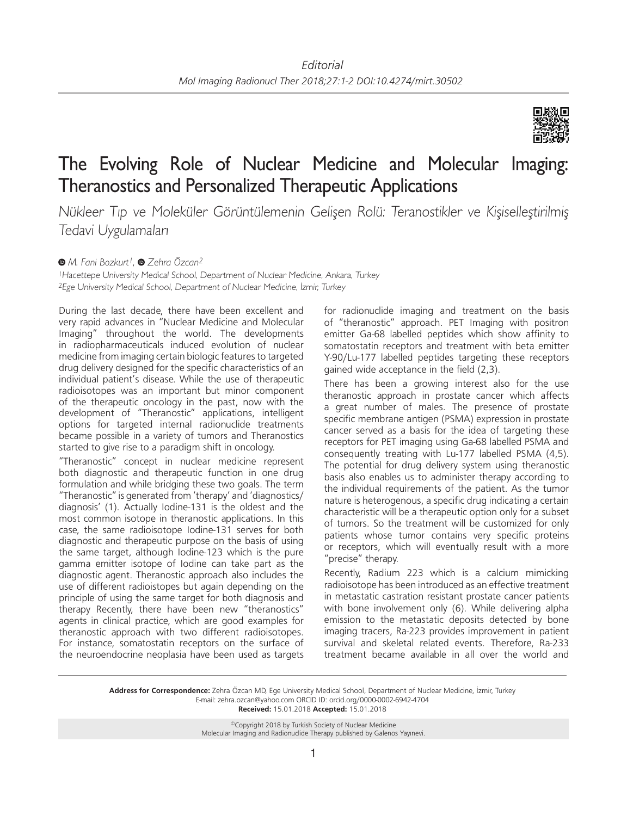

## The Evolving Role of Nuclear Medicine and Molecular Imaging: Theranostics and Personalized Therapeutic Applications

Nükleer Tıp ve Moleküler Görüntülemenin Gelişen Rolü: Teranostikler ve Kişiselleştirilmiş Tedavi Uygulamaları

## *M. Fani Bozkurt1,Zehra Özcan2*

<sup>1</sup>Hacettepe University Medical School, Department of Nuclear Medicine, Ankara, Turkey <sup>2</sup>Ege University Medical School, Department of Nuclear Medicine, İzmir, Turkey

During the last decade, there have been excellent and very rapid advances in "Nuclear Medicine and Molecular Imaging" throughout the world. The developments in radiopharmaceuticals induced evolution of nuclear medicine from imaging certain biologic features to targeted drug delivery designed for the specific characteristics of an individual patient's disease. While the use of therapeutic radioisotopes was an important but minor component of the therapeutic oncology in the past, now with the development of "Theranostic" applications, intelligent options for targeted internal radionuclide treatments became possible in a variety of tumors and Theranostics started to give rise to a paradigm shift in oncology.

"Theranostic" concept in nuclear medicine represent both diagnostic and therapeutic function in one drug formulation and while bridging these two goals. The term "Theranostic" is generated from 'therapy' and 'diagnostics/ diagnosis' (1). Actually Iodine-131 is the oldest and the most common isotope in theranostic applications. In this case, the same radioisotope Iodine-131 serves for both diagnostic and therapeutic purpose on the basis of using the same target, although Iodine-123 which is the pure gamma emitter isotope of Iodine can take part as the diagnostic agent. Theranostic approach also includes the use of different radioistopes but again depending on the principle of using the same target for both diagnosis and therapy Recently, there have been new "theranostics" agents in clinical practice, which are good examples for theranostic approach with two different radioisotopes. For instance, somatostatin receptors on the surface of the neuroendocrine neoplasia have been used as targets for radionuclide imaging and treatment on the basis of "theranostic" approach. PET Imaging with positron emitter Ga-68 labelled peptides which show affinity to somatostatin receptors and treatment with beta emitter Y-90/Lu-177 labelled peptides targeting these receptors gained wide acceptance in the field (2,3).

There has been a growing interest also for the use theranostic approach in prostate cancer which affects a great number of males. The presence of prostate specific membrane antigen (PSMA) expression in prostate cancer served as a basis for the idea of targeting these receptors for PET imaging using Ga-68 labelled PSMA and consequently treating with Lu-177 labelled PSMA (4,5). The potential for drug delivery system using theranostic basis also enables us to administer therapy according to the individual requirements of the patient. As the tumor nature is heterogenous, a specific drug indicating a certain characteristic will be a therapeutic option only for a subset of tumors. So the treatment will be customized for only patients whose tumor contains very specific proteins or receptors, which will eventually result with a more "precise" therapy.

Recently, Radium 223 which is a calcium mimicking radioisotope has been introduced as an effective treatment in metastatic castration resistant prostate cancer patients with bone involvement only (6). While delivering alpha emission to the metastatic deposits detected by bone imaging tracers, Ra-223 provides improvement in patient survival and skeletal related events. Therefore, Ra-233 treatment became available in all over the world and

**Address for Correspondence:** Zehra Özcan MD, Ege University Medical School, Department of Nuclear Medicine, İzmir, Turkey E-mail: zehra.ozcan@yahoo.com ORCID ID: orcid.org/0000-0002-6942-4704 **Received:** 15.01.2018 **Accepted:** 15.01.2018

> ©Copyright 2018 by Turkish Society of Nuclear Medicine Molecular Imaging and Radionuclide Therapy published by Galenos Yayınevi.